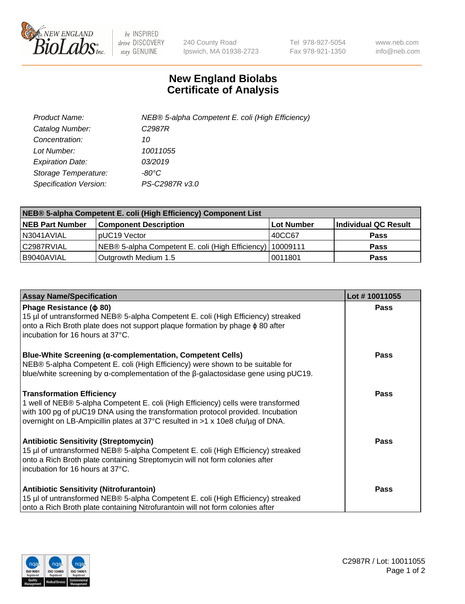

 $be$  INSPIRED drive DISCOVERY stay GENUINE

240 County Road Ipswich, MA 01938-2723 Tel 978-927-5054 Fax 978-921-1350 www.neb.com info@neb.com

## **New England Biolabs Certificate of Analysis**

| Product Name:           | NEB® 5-alpha Competent E. coli (High Efficiency) |
|-------------------------|--------------------------------------------------|
| Catalog Number:         | C <sub>2987</sub> R                              |
| Concentration:          | 10                                               |
| Lot Number:             | 10011055                                         |
| <b>Expiration Date:</b> | 03/2019                                          |
| Storage Temperature:    | -80°C                                            |
| Specification Version:  | PS-C2987R v3.0                                   |

| NEB® 5-alpha Competent E. coli (High Efficiency) Component List |                                                             |            |                      |  |
|-----------------------------------------------------------------|-------------------------------------------------------------|------------|----------------------|--|
| <b>NEB Part Number</b>                                          | <b>Component Description</b>                                | Lot Number | Individual QC Result |  |
| N3041AVIAL                                                      | IpUC19 Vector                                               | 40CC67     | <b>Pass</b>          |  |
| l C2987RVIAL                                                    | NEB® 5-alpha Competent E. coli (High Efficiency)   10009111 |            | <b>Pass</b>          |  |
| B9040AVIAL                                                      | Outgrowth Medium 1.5                                        | 10011801   | <b>Pass</b>          |  |

| <b>Assay Name/Specification</b>                                                                                                                                                                                                                                                            | Lot #10011055 |
|--------------------------------------------------------------------------------------------------------------------------------------------------------------------------------------------------------------------------------------------------------------------------------------------|---------------|
| Phage Resistance ( $\phi$ 80)<br>15 µl of untransformed NEB® 5-alpha Competent E. coli (High Efficiency) streaked<br>onto a Rich Broth plate does not support plaque formation by phage $\phi$ 80 after<br>incubation for 16 hours at 37°C.                                                | <b>Pass</b>   |
| Blue-White Screening (α-complementation, Competent Cells)<br>NEB® 5-alpha Competent E. coli (High Efficiency) were shown to be suitable for<br>blue/white screening by $\alpha$ -complementation of the $\beta$ -galactosidase gene using pUC19.                                           | Pass          |
| <b>Transformation Efficiency</b><br>1 well of NEB® 5-alpha Competent E. coli (High Efficiency) cells were transformed<br>with 100 pg of pUC19 DNA using the transformation protocol provided. Incubation<br>overnight on LB-Ampicillin plates at 37°C resulted in >1 x 10e8 cfu/µg of DNA. | Pass          |
| <b>Antibiotic Sensitivity (Streptomycin)</b><br>15 µl of untransformed NEB® 5-alpha Competent E. coli (High Efficiency) streaked<br>onto a Rich Broth plate containing Streptomycin will not form colonies after<br>incubation for 16 hours at 37°C.                                       | Pass          |
| <b>Antibiotic Sensitivity (Nitrofurantoin)</b><br>15 µl of untransformed NEB® 5-alpha Competent E. coli (High Efficiency) streaked<br>onto a Rich Broth plate containing Nitrofurantoin will not form colonies after                                                                       | Pass          |